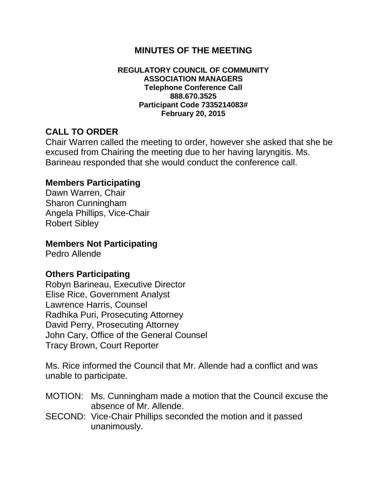# **MINUTES OF THE MEETING**

#### **REGULATORY COUNCIL OF COMMUNITY ASSOCIATION MANAGERS Telephone Conference Call 888.670.3525 Participant Code 7335214083# February 20, 2015**

# **CALL TO ORDER**

Chair Warren called the meeting to order, however she asked that she be excused from Chairing the meeting due to her having laryngitis. Ms. Barineau responded that she would conduct the conference call.

### **Members Participating**

Dawn Warren, Chair Sharon Cunningham Angela Phillips, Vice-Chair Robert Sibley

## **Members Not Participating**

Pedro Allende

### **Others Participating**

Robyn Barineau, Executive Director Elise Rice, Government Analyst Lawrence Harris, Counsel Radhika Puri, Prosecuting Attorney David Perry, Prosecuting Attorney John Cary, Office of the General Counsel Tracy Brown, Court Reporter

Ms. Rice informed the Council that Mr. Allende had a conflict and was unable to participate.

- MOTION: Ms. Cunningham made a motion that the Council excuse the absence of Mr. Allende.
- SECOND: Vice-Chair Phillips seconded the motion and it passed unanimously.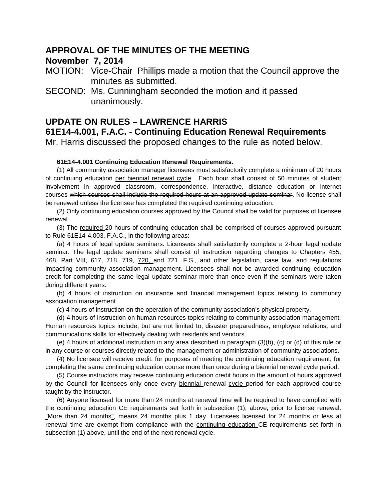### **APPROVAL OF THE MINUTES OF THE MEETING**

### **November 7, 2014**

- MOTION: Vice-Chair Phillips made a motion that the Council approve the minutes as submitted.
- SECOND: Ms. Cunningham seconded the motion and it passed unanimously.

### **UPDATE ON RULES – LAWRENCE HARRIS**

**61E14-4.001, F.A.C. - Continuing Education Renewal Requirements**

Mr. Harris discussed the proposed changes to the rule as noted below.

#### **61E14-4.001 Continuing Education Renewal Requirements.**

(1) All community association manager licensees must satisfactorily complete a minimum of 20 hours of continuing education per biennial renewal cycle. Each hour shall consist of 50 minutes of student involvement in approved classroom, correspondence, interactive, distance education or internet courses which courses shall include the required hours at an approved update seminar. No license shall be renewed unless the licensee has completed the required continuing education.

(2) Only continuing education courses approved by the Council shall be valid for purposes of licensee renewal.

(3) The required 20 hours of continuing education shall be comprised of courses approved pursuant to Rule 61E14-4.003, F.A.C., in the following areas:

(a) 4 hours of legal update seminars. Licensees shall satisfactorily complete a 2-hour legal update seminar. The legal update seminars shall consist of instruction regarding changes to Chapters 455, 468, Part VIII, 617, 718, 719, 720, and 721, F.S., and other legislation, case law, and regulations impacting community association management. Licensees shall not be awarded continuing education credit for completing the same legal update seminar more than once even if the seminars were taken during different years.

(b) 4 hours of instruction on insurance and financial management topics relating to community association management.

(c) 4 hours of instruction on the operation of the community association's physical property.

(d) 4 hours of instruction on human resources topics relating to community association management. Human resources topics include, but are not limited to, disaster preparedness, employee relations, and communications skills for effectively dealing with residents and vendors.

(e) 4 hours of additional instruction in any area described in paragraph (3)(b), (c) or (d) of this rule or in any course or courses directly related to the management or administration of community associations.

(4) No licensee will receive credit, for purposes of meeting the continuing education requirement, for completing the same continuing education course more than once during a biennial renewal cycle period.

(5) Course instructors may receive continuing education credit hours in the amount of hours approved by the Council for licensees only once every biennial renewal cycle period for each approved course taught by the instructor.

(6) Anyone licensed for more than 24 months at renewal time will be required to have complied with the continuing education CE requirements set forth in subsection (1), above, prior to license renewal. "More than 24 months", means 24 months plus 1 day. Licensees licensed for 24 months or less at renewal time are exempt from compliance with the continuing education CE requirements set forth in subsection (1) above, until the end of the next renewal cycle.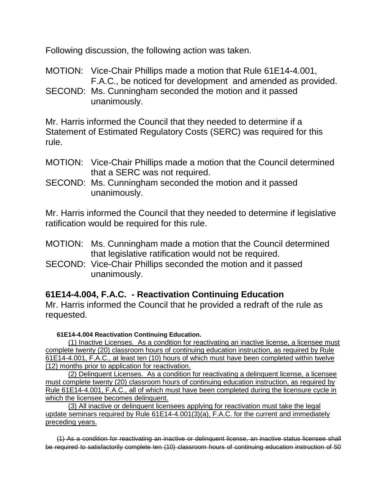Following discussion, the following action was taken.

MOTION: Vice-Chair Phillips made a motion that Rule 61E14-4.001, F.A.C., be noticed for development and amended as provided.

SECOND: Ms. Cunningham seconded the motion and it passed unanimously.

Mr. Harris informed the Council that they needed to determine if a Statement of Estimated Regulatory Costs (SERC) was required for this rule.

- MOTION: Vice-Chair Phillips made a motion that the Council determined that a SERC was not required.
- SECOND: Ms. Cunningham seconded the motion and it passed unanimously.

Mr. Harris informed the Council that they needed to determine if legislative ratification would be required for this rule.

- MOTION: Ms. Cunningham made a motion that the Council determined that legislative ratification would not be required.
- SECOND: Vice-Chair Phillips seconded the motion and it passed unanimously.

# **61E14-4.004, F.A.C. - Reactivation Continuing Education**

Mr. Harris informed the Council that he provided a redraft of the rule as requested.

**61E14-4.004 Reactivation Continuing Education.**

(1) Inactive Licenses. As a condition for reactivating an inactive license, a licensee must complete twenty (20) classroom hours of continuing education instruction, as required by Rule 61E14-4.001, F.A.C., at least ten (10) hours of which must have been completed within twelve (12) months prior to application for reactivation.

(2) Delinquent Licenses. As a condition for reactivating a delinquent license, a licensee must complete twenty (20) classroom hours of continuing education instruction, as required by Rule 61E14-4.001, F.A.C., all of which must have been completed during the licensure cycle in which the licensee becomes delinquent.

(3) All inactive or delinquent licensees applying for reactivation must take the legal update seminars required by Rule 61E14-4.001(3)(a), F.A.C. for the current and immediately preceding years.

(1) As a condition for reactivating an inactive or delinquent license, an inactive status licensee shall be required to satisfactorily complete ten (10) classroom hours of continuing education instruction of 50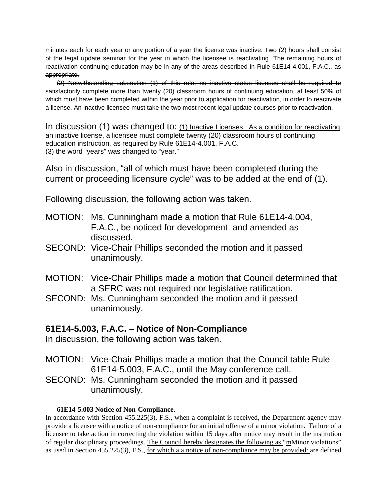minutes each for each year or any portion of a year the license was inactive. Two (2) hours shall consist of the legal update seminar for the year in which the licensee is reactivating. The remaining hours of reactivation continuing education may be in any of the areas described in Rule 61E14-4.001, F.A.C., as appropriate.

(2) Notwithstanding subsection (1) of this rule, no inactive status licensee shall be required to satisfactorily complete more than twenty (20) classroom hours of continuing education, at least 50% of which must have been completed within the year prior to application for reactivation, in order to reactivate a license. An inactive licensee must take the two most recent legal update courses prior to reactivation.

In discussion (1) was changed to: (1) Inactive Licenses. As a condition for reactivating an inactive license, a licensee must complete twenty (20) classroom hours of continuing education instruction, as required by Rule 61E14-4.001, F.A.C. (3) the word "years" was changed to "year."

Also in discussion, "all of which must have been completed during the current or proceeding licensure cycle" was to be added at the end of (1).

Following discussion, the following action was taken.

- MOTION: Ms. Cunningham made a motion that Rule 61E14-4.004, F.A.C., be noticed for development and amended as discussed.
- SECOND: Vice-Chair Phillips seconded the motion and it passed unanimously.
- MOTION: Vice-Chair Phillips made a motion that Council determined that a SERC was not required nor legislative ratification.
- SECOND: Ms. Cunningham seconded the motion and it passed unanimously.

### **61E14-5.003, F.A.C. – Notice of Non-Compliance**

In discussion, the following action was taken.

- MOTION: Vice-Chair Phillips made a motion that the Council table Rule 61E14-5.003, F.A.C., until the May conference call.
- SECOND: Ms. Cunningham seconded the motion and it passed unanimously.

### **61E14-5.003 Notice of Non-Compliance.**

In accordance with Section 455.225(3), F.S., when a complaint is received, the Department agency may provide a licensee with a notice of non-compliance for an initial offense of a minor violation. Failure of a licensee to take action in correcting the violation within 15 days after notice may result in the institution of regular disciplinary proceedings. The Council hereby designates the following as "mMinor violations" as used in Section 455.225(3), F.S., for which a a notice of non-compliance may be provided: are defined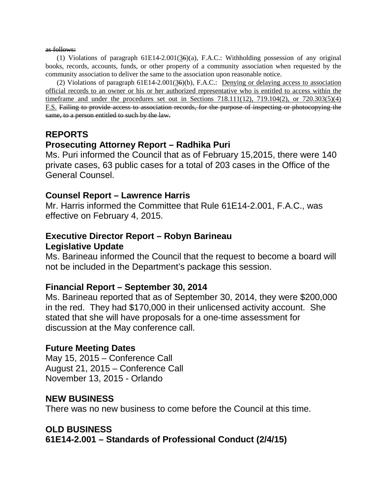#### as follows:

(1) Violations of paragraph 61E14-2.001(36)(a), F.A.C.: Withholding possession of any original books, records, accounts, funds, or other property of a community association when requested by the community association to deliver the same to the association upon reasonable notice.

(2) Violations of paragraph  $61E14-2.001(36)(b)$ , F.A.C.: Denying or delaying access to association official records to an owner or his or her authorized representative who is entitled to access within the timeframe and under the procedures set out in Sections  $718.111(12)$ ,  $719.104(2)$ , or  $720.303(5)(4)$ F.S. Failing to provide access to association records, for the purpose of inspecting or photocopying the same, to a person entitled to such by the law.

### **REPORTS**

### **Prosecuting Attorney Report – Radhika Puri**

Ms. Puri informed the Council that as of February 15,2015, there were 140 private cases, 63 public cases for a total of 203 cases in the Office of the General Counsel.

### **Counsel Report – Lawrence Harris**

Mr. Harris informed the Committee that Rule 61E14-2.001, F.A.C., was effective on February 4, 2015.

## **Executive Director Report – Robyn Barineau Legislative Update**

Ms. Barineau informed the Council that the request to become a board will not be included in the Department's package this session.

### **Financial Report – September 30, 2014**

Ms. Barineau reported that as of September 30, 2014, they were \$200,000 in the red. They had \$170,000 in their unlicensed activity account. She stated that she will have proposals for a one-time assessment for discussion at the May conference call.

### **Future Meeting Dates**

May 15, 2015 – Conference Call August 21, 2015 – Conference Call November 13, 2015 - Orlando

### **NEW BUSINESS**

There was no new business to come before the Council at this time.

### **OLD BUSINESS**

**61E14-2.001 – Standards of Professional Conduct (2/4/15)**